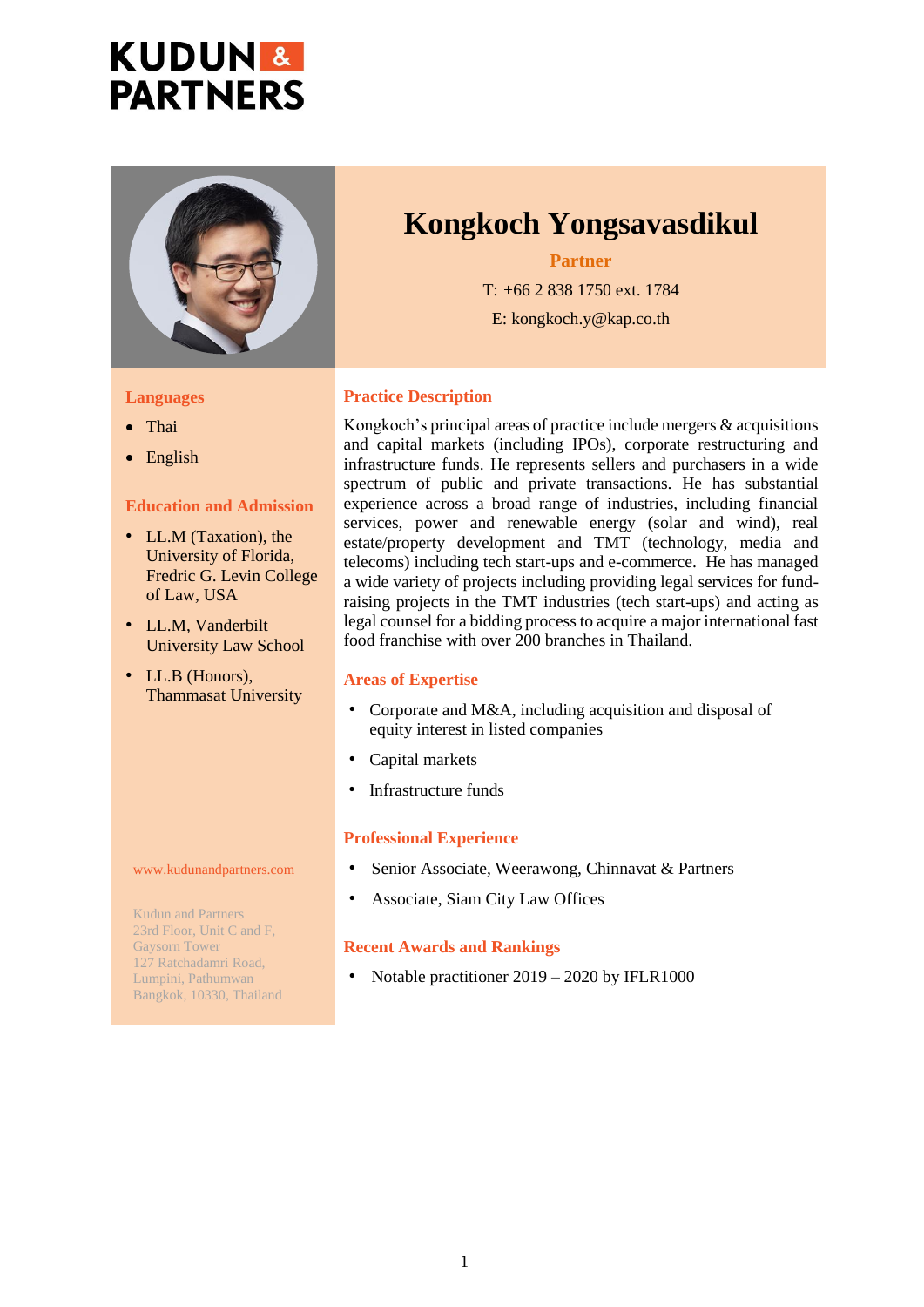# **KUDUN & PARTNERS**



#### **Languages**

- Thai
- English

#### **Education and Admission**

- LL.M (Taxation), the University of Florida, Fredric G. Levin College of Law, USA
- LL.M, Vanderbilt University Law School
- LL.B (Honors), Thammasat University

# **Kongkoch Yongsavasdikul**

#### **Partner**

T: +66 2 838 1750 ext. 1784 E: kongkoch.y@kap.co.th

#### **Practice Description**

Kongkoch's principal areas of practice include mergers & acquisitions and capital markets (including IPOs), corporate restructuring and infrastructure funds. He represents sellers and purchasers in a wide spectrum of public and private transactions. He has substantial experience across a broad range of industries, including financial services, power and renewable energy (solar and wind), real estate/property development and TMT (technology, media and telecoms) including tech start-ups and e-commerce. He has managed a wide variety of projects including providing legal services for fundraising projects in the TMT industries (tech start-ups) and acting as legal counsel for a bidding process to acquire a major international fast food franchise with over 200 branches in Thailand.

#### **Areas of Expertise**

- Corporate and M&A, including acquisition and disposal of equity interest in listed companies
- Capital markets
- Infrastructure funds

#### **Professional Experience**

- Senior Associate, Weerawong, Chinnavat & Partners
- Associate, Siam City Law Offices

## **Recent Awards and Rankings**

• Notable practitioner 2019 – 2020 by IFLR1000

#### www.kudunandpartners.com

Kudun and Partners 23rd Floor, Unit C and F, Gaysorn Tower 127 Ratchadamri Road, Lumpini, Pathumwan Bangkok, 10330, Thailand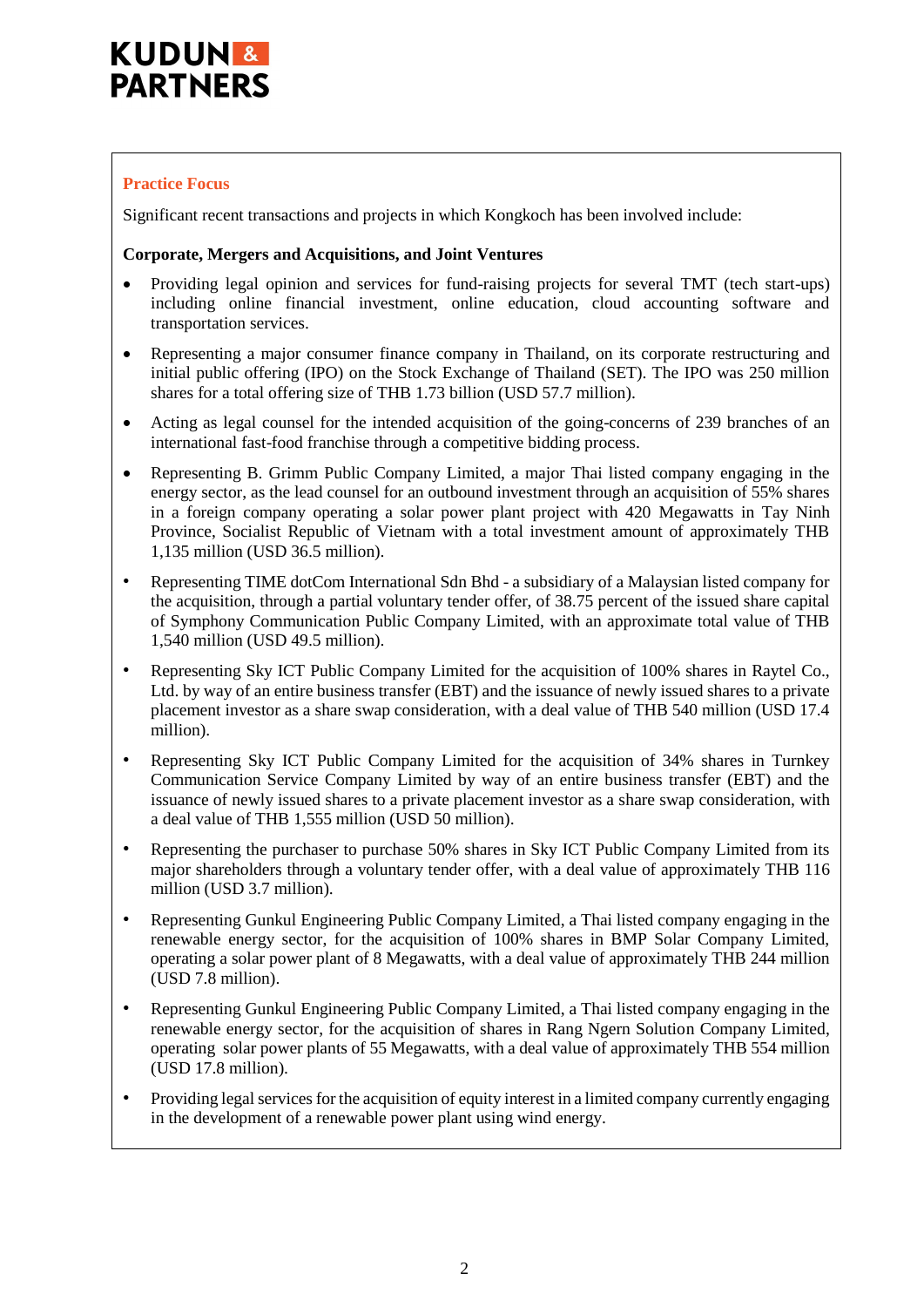## **Practice Focus**

Significant recent transactions and projects in which Kongkoch has been involved include:

#### **Corporate, Mergers and Acquisitions, and Joint Ventures**

- Providing legal opinion and services for fund-raising projects for several TMT (tech start-ups) including online financial investment, online education, cloud accounting software and transportation services.
- Representing a major consumer finance company in Thailand, on its corporate restructuring and initial public offering (IPO) on the Stock Exchange of Thailand (SET). The IPO was 250 million shares for a total offering size of THB 1.73 billion (USD 57.7 million).
- Acting as legal counsel for the intended acquisition of the going-concerns of 239 branches of an international fast-food franchise through a competitive bidding process.
- Representing B. Grimm Public Company Limited, a major Thai listed company engaging in the energy sector, as the lead counsel for an outbound investment through an acquisition of 55% shares in a foreign company operating a solar power plant project with 420 Megawatts in Tay Ninh Province, Socialist Republic of Vietnam with a total investment amount of approximately THB 1,135 million (USD 36.5 million).
- Representing TIME dotCom International Sdn Bhd a subsidiary of a Malaysian listed company for the acquisition, through a partial voluntary tender offer, of 38.75 percent of the issued share capital of Symphony Communication Public Company Limited, with an approximate total value of THB 1,540 million (USD 49.5 million).
- Representing Sky ICT Public Company Limited for the acquisition of 100% shares in Raytel Co., Ltd. by way of an entire business transfer (EBT) and the issuance of newly issued shares to a private placement investor as a share swap consideration, with a deal value of THB 540 million (USD 17.4 million).
- Representing Sky ICT Public Company Limited for the acquisition of 34% shares in Turnkey Communication Service Company Limited by way of an entire business transfer (EBT) and the issuance of newly issued shares to a private placement investor as a share swap consideration, with a deal value of THB 1,555 million (USD 50 million).
- Representing the purchaser to purchase 50% shares in Sky ICT Public Company Limited from its major shareholders through a voluntary tender offer, with a deal value of approximately THB 116 million (USD 3.7 million).
- Representing Gunkul Engineering Public Company Limited, a Thai listed company engaging in the renewable energy sector, for the acquisition of 100% shares in BMP Solar Company Limited, operating a solar power plant of 8 Megawatts, with a deal value of approximately THB 244 million (USD 7.8 million).
- Representing Gunkul Engineering Public Company Limited, a Thai listed company engaging in the renewable energy sector, for the acquisition of shares in Rang Ngern Solution Company Limited, operating solar power plants of 55 Megawatts, with a deal value of approximately THB 554 million (USD 17.8 million).
- Providing legal services for the acquisition of equity interest in a limited company currently engaging in the development of a renewable power plant using wind energy.